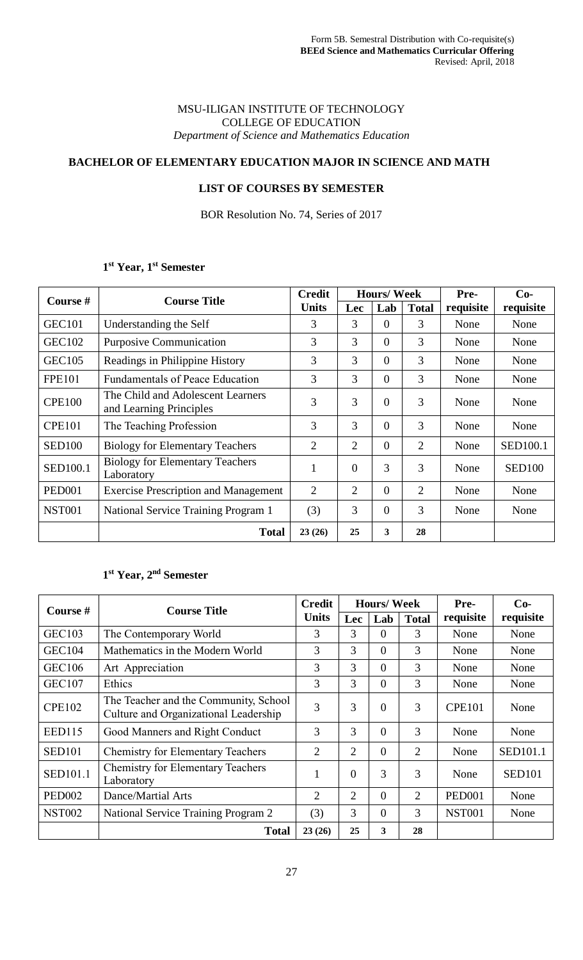#### MSU-ILIGAN INSTITUTE OF TECHNOLOGY COLLEGE OF EDUCATION *Department of Science and Mathematics Education*

# **BACHELOR OF ELEMENTARY EDUCATION MAJOR IN SCIENCE AND MATH**

### **LIST OF COURSES BY SEMESTER**

BOR Resolution No. 74, Series of 2017

#### **1 st Year, 1st Semester**

| Course #      | <b>Course Title</b>                                          | <b>Credit</b>  |                | <b>Hours/Week</b> |              | Pre-      | $Co-$           |
|---------------|--------------------------------------------------------------|----------------|----------------|-------------------|--------------|-----------|-----------------|
|               |                                                              |                | Lec            | Lab               | <b>Total</b> | requisite | requisite       |
| <b>GEC101</b> | Understanding the Self                                       | 3              | 3              | $\theta$          | 3            | None      | None            |
| <b>GEC102</b> | <b>Purposive Communication</b>                               | 3              | 3              | $\theta$          | 3            | None      | None            |
| <b>GEC105</b> | Readings in Philippine History                               | 3              | 3              | $\theta$          | 3            | None      | None            |
| <b>FPE101</b> | <b>Fundamentals of Peace Education</b>                       | 3              | 3              | $\overline{0}$    | 3            | None      | None            |
| <b>CPE100</b> | The Child and Adolescent Learners<br>and Learning Principles | 3              | 3              | $\overline{0}$    | 3            | None      | None            |
| <b>CPE101</b> | The Teaching Profession                                      | 3              | 3              | $\overline{0}$    | 3            | None      | None            |
| <b>SED100</b> | <b>Biology for Elementary Teachers</b>                       | $\overline{2}$ | $\overline{2}$ | $\Omega$          | 2            | None      | <b>SED100.1</b> |
| SED100.1      | <b>Biology for Elementary Teachers</b><br>Laboratory         | $\mathbf{1}$   | $\overline{0}$ | 3                 | 3            | None      | <b>SED100</b>   |
| <b>PED001</b> | <b>Exercise Prescription and Management</b>                  | 2              | $\overline{2}$ | $\overline{0}$    | 2            | None      | None            |
| <b>NST001</b> | National Service Training Program 1                          | (3)            | 3              | $\theta$          | 3            | None      | None            |
|               | <b>Total</b>                                                 | 23(26)         | 25             | 3                 | 28           |           |                 |

#### **1 st Year, 2nd Semester**

| Course #           | <b>Course Title</b>                                                            | <b>Credit</b>  |                | <b>Hours/Week</b> |                | Pre-          | $Co-$         |
|--------------------|--------------------------------------------------------------------------------|----------------|----------------|-------------------|----------------|---------------|---------------|
|                    | <b>Units</b>                                                                   |                | Lec            | Lab               | <b>Total</b>   | requisite     | requisite     |
| <b>GEC103</b>      | The Contemporary World                                                         | 3              | 3              | $\Omega$          | 3              | None          | None          |
| <b>GEC104</b>      | Mathematics in the Modern World                                                | 3              | 3              | $\Omega$          | 3              | None          | None          |
| <b>GEC106</b>      | Art Appreciation                                                               | 3              | 3              | $\Omega$          | 3              | None          | None          |
| <b>GEC107</b>      | Ethics                                                                         | 3              | 3              | $\Omega$          | 3              | None          | None          |
| <b>CPE102</b>      | The Teacher and the Community, School<br>Culture and Organizational Leadership | 3              | 3              | $\Omega$          | 3              | <b>CPE101</b> | None          |
| <b>EED115</b>      | Good Manners and Right Conduct                                                 | 3              | 3              | $\Omega$          | 3              | None          | None          |
| <b>SED101</b>      | <b>Chemistry for Elementary Teachers</b>                                       | $\overline{2}$ | $\overline{2}$ | $\Omega$          | $\overline{2}$ | None          | SED101.1      |
| SED101.1           | <b>Chemistry for Elementary Teachers</b><br>Laboratory                         | 1              | $\theta$       | 3                 | 3              | None          | <b>SED101</b> |
| PED <sub>002</sub> | Dance/Martial Arts                                                             | $\overline{2}$ | $\overline{2}$ | $\theta$          | $\overline{2}$ | <b>PED001</b> | None          |
| <b>NST002</b>      | National Service Training Program 2                                            | (3)            | 3              | $\Omega$          | 3              | <b>NST001</b> | None          |
|                    | <b>Total</b>                                                                   | 23(26)         | 25             | 3                 | 28             |               |               |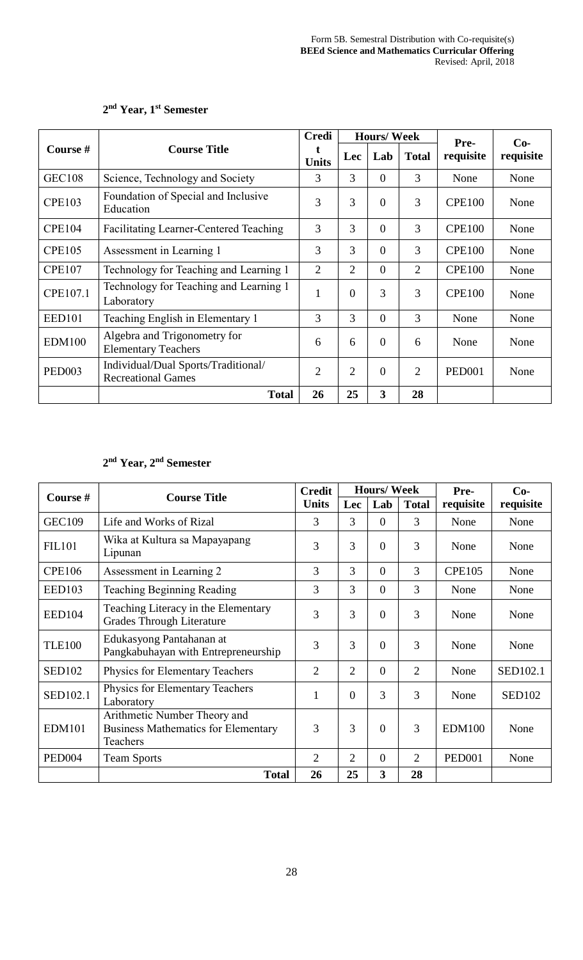|               |                                                                  |                |                | <b>Hours/Week</b> |                | Pre-          | $Co-$     |
|---------------|------------------------------------------------------------------|----------------|----------------|-------------------|----------------|---------------|-----------|
| Course #      | <b>Course Title</b>                                              | <b>Units</b>   | <b>Lec</b>     | Lab               | <b>Total</b>   | requisite     | requisite |
| <b>GEC108</b> | Science, Technology and Society                                  | 3              | 3              | $\overline{0}$    | 3              | None          | None      |
| <b>CPE103</b> | Foundation of Special and Inclusive<br>Education                 | 3              | 3              | $\theta$          | 3              | <b>CPE100</b> | None      |
| <b>CPE104</b> | <b>Facilitating Learner-Centered Teaching</b>                    | 3              | 3              | $\overline{0}$    | 3              | <b>CPE100</b> | None      |
| <b>CPE105</b> | Assessment in Learning 1                                         | 3              | 3              | $\theta$          | 3              | <b>CPE100</b> | None      |
| <b>CPE107</b> | Technology for Teaching and Learning 1                           | $\overline{2}$ | $\overline{2}$ | $\overline{0}$    | $\overline{2}$ | <b>CPE100</b> | None      |
| CPE107.1      | Technology for Teaching and Learning 1<br>Laboratory             | $\mathbf{1}$   | $\overline{0}$ | 3                 | 3              | <b>CPE100</b> | None      |
| <b>EED101</b> | Teaching English in Elementary 1                                 | 3              | 3              | $\Omega$          | 3              | None          | None      |
| <b>EDM100</b> | Algebra and Trigonometry for<br><b>Elementary Teachers</b>       | 6              | 6              | $\theta$          | 6              | None          | None      |
| <b>PED003</b> | Individual/Dual Sports/Traditional/<br><b>Recreational Games</b> | $\overline{2}$ | $\overline{2}$ | $\overline{0}$    | $\overline{2}$ | <b>PED001</b> | None      |
|               | <b>Total</b>                                                     | 26             | 25             | 3                 | 28             |               |           |

### **2 nd Year, 1st Semester**

### **2 nd Year, 2nd Semester**

| Course #           | <b>Course Title</b>                                                                    | <b>Credit</b>  |                | <b>Hours/Week</b> |                | Pre-          | $Co-$         |
|--------------------|----------------------------------------------------------------------------------------|----------------|----------------|-------------------|----------------|---------------|---------------|
|                    |                                                                                        | <b>Units</b>   | Lec            | Lab               | <b>Total</b>   | requisite     | requisite     |
| <b>GEC109</b>      | Life and Works of Rizal                                                                | 3              | 3              | $\theta$          | 3              | None          | None          |
| <b>FIL101</b>      | Wika at Kultura sa Mapayapang<br>Lipunan                                               | 3              | 3              | $\overline{0}$    | 3              | None          | None          |
| <b>CPE106</b>      | Assessment in Learning 2                                                               | 3              | 3              | $\Omega$          | 3              | <b>CPE105</b> | None          |
| <b>EED103</b>      | <b>Teaching Beginning Reading</b>                                                      | 3              | 3              | $\theta$          | 3              | None          | None          |
| EED104             | Teaching Literacy in the Elementary<br>Grades Through Literature                       | 3              | 3              | $\theta$          | 3              | None          | None          |
| <b>TLE100</b>      | Edukasyong Pantahanan at<br>Pangkabuhayan with Entrepreneurship                        | 3              | 3              | $\theta$          | 3              | None          | None          |
| <b>SED102</b>      | Physics for Elementary Teachers                                                        | $\overline{2}$ | $\overline{2}$ | $\overline{0}$    | $\overline{2}$ | None          | SED102.1      |
| SED102.1           | Physics for Elementary Teachers<br>Laboratory                                          | 1              | $\Omega$       | 3                 | 3              | None          | <b>SED102</b> |
| <b>EDM101</b>      | Arithmetic Number Theory and<br><b>Business Mathematics for Elementary</b><br>Teachers | 3              | 3              | $\theta$          | 3              | <b>EDM100</b> | None          |
| PED <sub>004</sub> | <b>Team Sports</b>                                                                     | 2              | 2              | $\Omega$          | 2              | <b>PED001</b> | None          |
|                    | <b>Total</b>                                                                           | 26             | 25             | 3                 | 28             |               |               |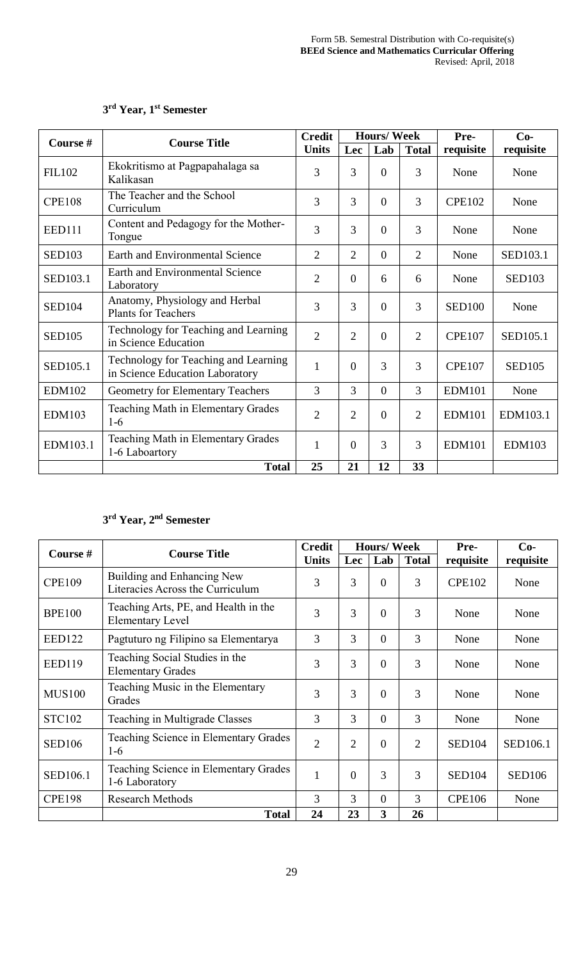|               | <b>Course Title</b>                                                     | <b>Credit</b>  |                | <b>Hours/Week</b> |                | Pre-          | $Co-$         |
|---------------|-------------------------------------------------------------------------|----------------|----------------|-------------------|----------------|---------------|---------------|
| Course #      |                                                                         | <b>Units</b>   | Lec            | Lab               | <b>Total</b>   | requisite     | requisite     |
| <b>FIL102</b> | Ekokritismo at Pagpapahalaga sa<br>Kalikasan                            | 3              | 3              | $\overline{0}$    | 3              | None          | None          |
| <b>CPE108</b> | The Teacher and the School<br>Curriculum                                | 3              | 3              | $\Omega$          | 3              | <b>CPE102</b> | None          |
| <b>EED111</b> | Content and Pedagogy for the Mother-<br>Tongue                          | 3              | 3              | $\overline{0}$    | 3              | None          | None          |
| <b>SED103</b> | Earth and Environmental Science                                         | $\overline{2}$ | $\overline{2}$ | $\overline{0}$    | $\overline{2}$ | None          | SED103.1      |
| SED103.1      | <b>Earth and Environmental Science</b><br>Laboratory                    | $\overline{2}$ | $\theta$       | 6                 | 6              | None          | <b>SED103</b> |
| <b>SED104</b> | Anatomy, Physiology and Herbal<br><b>Plants for Teachers</b>            | 3              | 3              | $\Omega$          | 3              | <b>SED100</b> | None          |
| <b>SED105</b> | Technology for Teaching and Learning<br>in Science Education            | $\overline{2}$ | $\overline{2}$ | $\Omega$          | $\overline{2}$ | <b>CPE107</b> | SED105.1      |
| SED105.1      | Technology for Teaching and Learning<br>in Science Education Laboratory | $\mathbf{1}$   | $\theta$       | 3                 | 3              | <b>CPE107</b> | <b>SED105</b> |
| <b>EDM102</b> | <b>Geometry for Elementary Teachers</b>                                 | 3              | 3              | $\overline{0}$    | 3              | <b>EDM101</b> | None          |
| <b>EDM103</b> | Teaching Math in Elementary Grades<br>$1-6$                             | $\overline{2}$ | $\overline{2}$ | $\Omega$          | 2              | <b>EDM101</b> | EDM103.1      |
| EDM103.1      | Teaching Math in Elementary Grades<br>1-6 Laboartory                    | 1              | $\overline{0}$ | 3                 | 3              | <b>EDM101</b> | <b>EDM103</b> |
|               | <b>Total</b>                                                            | 25             | 21             | 12                | 33             |               |               |

## **3 rd Year, 1st Semester**

## **3 rd Year, 2nd Semester**

| Course #        | <b>Course Title</b>                                             | <b>Credit</b>  |                | <b>Hours/Week</b> |                | Pre-          | $Co-$         |
|-----------------|-----------------------------------------------------------------|----------------|----------------|-------------------|----------------|---------------|---------------|
|                 |                                                                 | <b>Units</b>   | Lec            | Lab               | <b>Total</b>   | requisite     | requisite     |
| <b>CPE109</b>   | Building and Enhancing New<br>Literacies Across the Curriculum  | 3              | 3              | $\overline{0}$    | 3              | <b>CPE102</b> | None          |
| <b>BPE100</b>   | Teaching Arts, PE, and Health in the<br><b>Elementary Level</b> | 3              | 3              | $\overline{0}$    | 3              | None          | None          |
| <b>EED122</b>   | Pagtuturo ng Filipino sa Elementarya                            | 3              | 3              | $\Omega$          | 3              | None          | None          |
| <b>EED119</b>   | Teaching Social Studies in the<br><b>Elementary Grades</b>      | 3              | 3              | $\overline{0}$    | 3              | None          | None          |
| <b>MUS100</b>   | Teaching Music in the Elementary<br>Grades                      | 3              | 3              | $\overline{0}$    | 3              | None          | None          |
| <b>STC102</b>   | Teaching in Multigrade Classes                                  | 3              | 3              | $\theta$          | 3              | None          | None          |
| <b>SED106</b>   | Teaching Science in Elementary Grades<br>$1-6$                  | $\overline{2}$ | $\overline{2}$ | $\theta$          | $\overline{2}$ | <b>SED104</b> | SED106.1      |
| <b>SED106.1</b> | Teaching Science in Elementary Grades<br>1-6 Laboratory         | $\mathbf{1}$   | $\overline{0}$ | 3                 | 3              | <b>SED104</b> | <b>SED106</b> |
| <b>CPE198</b>   | <b>Research Methods</b>                                         | 3              | 3              | $\theta$          | 3              | <b>CPE106</b> | None          |
|                 | <b>Total</b>                                                    | 24             | 23             | 3                 | 26             |               |               |